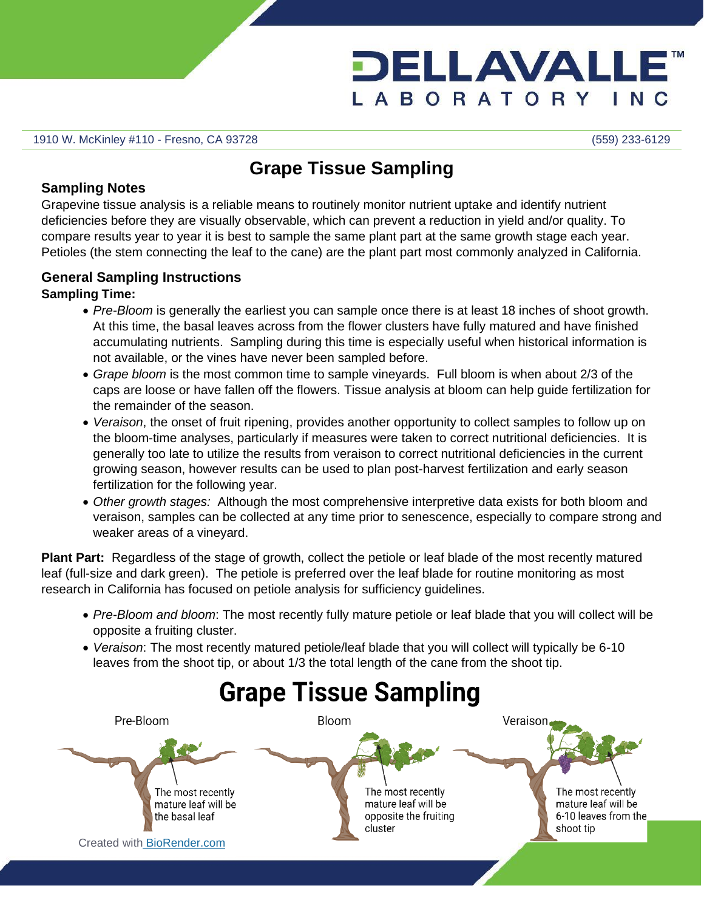

1910 W. McKinley #110 - Fresno, CA 93728 (559) 233-6129

## **Grape Tissue Sampling**

#### **Sampling Notes**

Grapevine tissue analysis is a reliable means to routinely monitor nutrient uptake and identify nutrient deficiencies before they are visually observable, which can prevent a reduction in yield and/or quality. To compare results year to year it is best to sample the same plant part at the same growth stage each year. Petioles (the stem connecting the leaf to the cane) are the plant part most commonly analyzed in California.

### **General Sampling Instructions**

#### **Sampling Time:**

- *Pre-Bloom* is generally the earliest you can sample once there is at least 18 inches of shoot growth. At this time, the basal leaves across from the flower clusters have fully matured and have finished accumulating nutrients. Sampling during this time is especially useful when historical information is not available, or the vines have never been sampled before.
- *Grape bloom* is the most common time to sample vineyards. Full bloom is when about 2/3 of the caps are loose or have fallen off the flowers. Tissue analysis at bloom can help guide fertilization for the remainder of the season.
- *Veraison*, the onset of fruit ripening, provides another opportunity to collect samples to follow up on the bloom-time analyses, particularly if measures were taken to correct nutritional deficiencies. It is generally too late to utilize the results from veraison to correct nutritional deficiencies in the current growing season, however results can be used to plan post-harvest fertilization and early season fertilization for the following year.
- *Other growth stages:* Although the most comprehensive interpretive data exists for both bloom and veraison, samples can be collected at any time prior to senescence, especially to compare strong and weaker areas of a vineyard.

**Plant Part:** Regardless of the stage of growth, collect the petiole or leaf blade of the most recently matured leaf (full-size and dark green). The petiole is preferred over the leaf blade for routine monitoring as most research in California has focused on petiole analysis for sufficiency guidelines.

- *Pre-Bloom and bloom*: The most recently fully mature petiole or leaf blade that you will collect will be opposite a fruiting cluster.
- *Veraison*: The most recently matured petiole/leaf blade that you will collect will typically be 6-10 leaves from the shoot tip, or about 1/3 the total length of the cane from the shoot tip.

# **Grape Tissue Sampling**